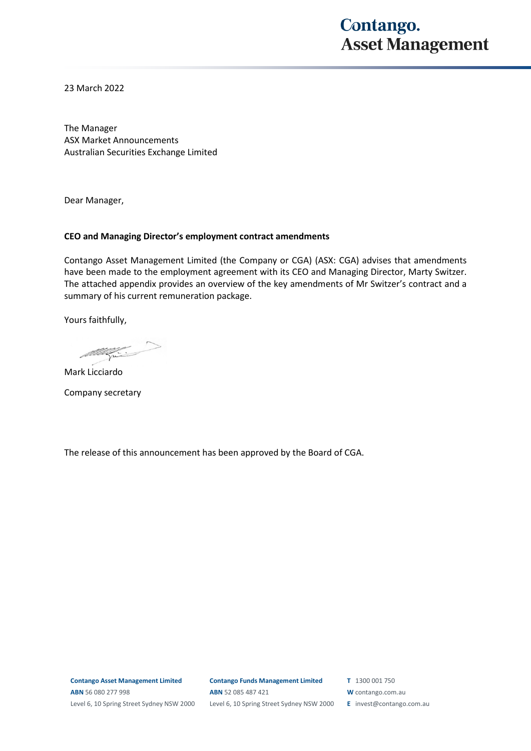## **Contango. Asset Management**

23 March 2022

The Manager ASX Market Announcements Australian Securities Exchange Limited

Dear Manager,

## **CEO and Managing Director's employment contract amendments**

Contango Asset Management Limited (the Company or CGA) (ASX: CGA) advises that amendments have been made to the employment agreement with its CEO and Managing Director, Marty Switzer. The attached appendix provides an overview of the key amendments of Mr Switzer's contract and a summary of his current remuneration package.

Yours faithfully,

 $\begin{picture}(150,20) \put(0,0){\line(1,0){10}} \put(15,0){\line(1,0){10}} \put(15,0){\line(1,0){10}} \put(15,0){\line(1,0){10}} \put(15,0){\line(1,0){10}} \put(15,0){\line(1,0){10}} \put(15,0){\line(1,0){10}} \put(15,0){\line(1,0){10}} \put(15,0){\line(1,0){10}} \put(15,0){\line(1,0){10}} \put(15,0){\line(1,0){10}} \put(15,0){\line($ 

Mark Licciardo

Company secretary

The release of this announcement has been approved by the Board of CGA.

**Contango Asset Management Limited ABN** 56 080 277 998 Level 6, 10 Spring Street Sydney NSW 2000

**Contango Funds Management Limited ABN** 52 085 487 421 Level 6, 10 Spring Street Sydney NSW 2000 **T** 1300 001 750

**W** contango.com.au

**E** invest@contango.com.au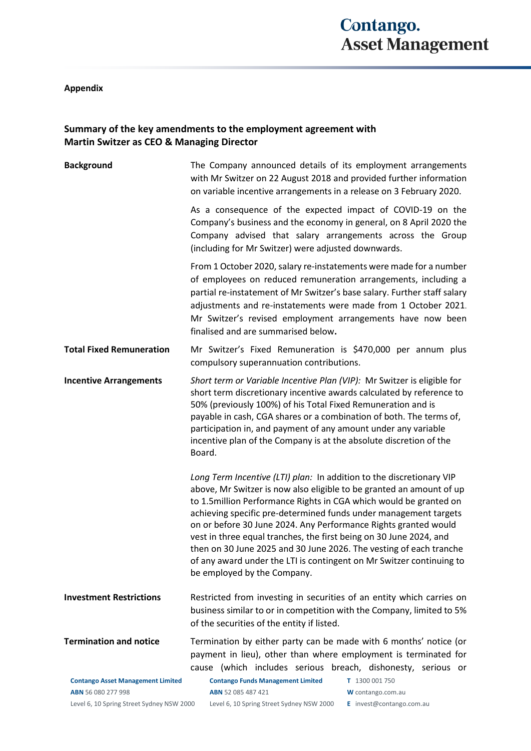## **Appendix**

## **Summary of the key amendments to the employment agreement with Martin Switzer as CEO & Managing Director**

| <b>Background</b>                                              | The Company announced details of its employment arrangements<br>with Mr Switzer on 22 August 2018 and provided further information<br>on variable incentive arrangements in a release on 3 February 2020.                                                                                                                                                                                                                                                                                                                                                                                                   |
|----------------------------------------------------------------|-------------------------------------------------------------------------------------------------------------------------------------------------------------------------------------------------------------------------------------------------------------------------------------------------------------------------------------------------------------------------------------------------------------------------------------------------------------------------------------------------------------------------------------------------------------------------------------------------------------|
|                                                                | As a consequence of the expected impact of COVID-19 on the<br>Company's business and the economy in general, on 8 April 2020 the<br>Company advised that salary arrangements across the Group<br>(including for Mr Switzer) were adjusted downwards.                                                                                                                                                                                                                                                                                                                                                        |
|                                                                | From 1 October 2020, salary re-instatements were made for a number<br>of employees on reduced remuneration arrangements, including a<br>partial re-instatement of Mr Switzer's base salary. Further staff salary<br>adjustments and re-instatements were made from 1 October 2021.<br>Mr Switzer's revised employment arrangements have now been<br>finalised and are summarised below.                                                                                                                                                                                                                     |
| <b>Total Fixed Remuneration</b>                                | Mr Switzer's Fixed Remuneration is \$470,000 per annum plus<br>compulsory superannuation contributions.                                                                                                                                                                                                                                                                                                                                                                                                                                                                                                     |
| <b>Incentive Arrangements</b>                                  | Short term or Variable Incentive Plan (VIP): Mr Switzer is eligible for<br>short term discretionary incentive awards calculated by reference to<br>50% (previously 100%) of his Total Fixed Remuneration and is<br>payable in cash, CGA shares or a combination of both. The terms of,<br>participation in, and payment of any amount under any variable<br>incentive plan of the Company is at the absolute discretion of the<br>Board.                                                                                                                                                                    |
|                                                                | Long Term Incentive (LTI) plan: In addition to the discretionary VIP<br>above, Mr Switzer is now also eligible to be granted an amount of up<br>to 1.5million Performance Rights in CGA which would be granted on<br>achieving specific pre-determined funds under management targets<br>on or before 30 June 2024. Any Performance Rights granted would<br>vest in three equal tranches, the first being on 30 June 2024, and<br>then on 30 June 2025 and 30 June 2026. The vesting of each tranche<br>of any award under the LTI is contingent on Mr Switzer continuing to<br>be employed by the Company. |
| <b>Investment Restrictions</b>                                 | Restricted from investing in securities of an entity which carries on<br>business similar to or in competition with the Company, limited to 5%<br>of the securities of the entity if listed.                                                                                                                                                                                                                                                                                                                                                                                                                |
| <b>Termination and notice</b>                                  | Termination by either party can be made with 6 months' notice (or<br>payment in lieu), other than where employment is terminated for<br>cause (which includes serious breach, dishonesty, serious or                                                                                                                                                                                                                                                                                                                                                                                                        |
| <b>Contango Asset Management Limited</b><br>ABN 56 080 277 998 | <b>Contango Funds Management Limited</b><br>T 1300 001 750<br>ABN 52 085 487 421<br>W contango.com.au                                                                                                                                                                                                                                                                                                                                                                                                                                                                                                       |

Level 6, 10 Spring Street Sydney NSW 2000 Level 6, 10 Spring Street Sydney NSW 2000 **E** invest@contango.com.au